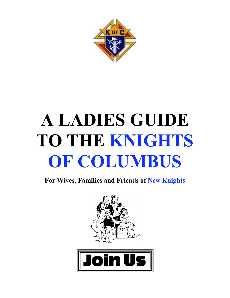

# **A LADIES GUIDE TO THE KNIGHTS OF COLUMBUS**

**For Wives, Families and Friends of New Knights**



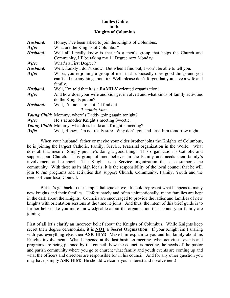#### **Ladies Guide to the Knights of Columbus**

| Husband: | Honey, I've been asked to join the Knights of Columbus.                                                                                                                        |  |  |
|----------|--------------------------------------------------------------------------------------------------------------------------------------------------------------------------------|--|--|
| Wife:    | What are the Knights of Columbus?                                                                                                                                              |  |  |
| Husband: | Well all I really know is that it's a men's group that helps the Church and                                                                                                    |  |  |
|          | Community, I'll be taking my 1 <sup>st</sup> Degree next Monday.                                                                                                               |  |  |
| Wife:    | What's a First Degree?                                                                                                                                                         |  |  |
| Husband: | Well, frankly I don't know. But when I find out, I won't be able to tell you.                                                                                                  |  |  |
| Wife:    | Whoa, you're joining a group of men that supposedly does good things and you<br>can't tell me anything about it? Well, please don't forget that you have a wife and<br>family. |  |  |
| Husband: | Well, I'm told that it is a FAMILY oriented organization!                                                                                                                      |  |  |
| Wife:    | And how does your wife and kids get involved and what kinds of family activities                                                                                               |  |  |
|          | do the Knights put on?                                                                                                                                                         |  |  |
| Husband: | Well, I'm not sure, but I'll find out                                                                                                                                          |  |  |
|          | $3$ months later                                                                                                                                                               |  |  |
|          | Young Child: Mommy, where's Daddy going again tonight?                                                                                                                         |  |  |
| Wife:    | He's at another Knight's meeting Sweetie.                                                                                                                                      |  |  |
|          | <i>Young Child:</i> Mommy, what does he do at a Knight's meeting?                                                                                                              |  |  |
| Wife:    | Well, Honey, I'm not really sure. Why don't you and I ask him tomorrow night!                                                                                                  |  |  |

When your husband, father or maybe your older brother joins the Knights of Columbus, he is joining the largest Catholic, Family, Service, Fraternal organization in the World. What does all that mean? Simply put, he's doing a good thing! This organization is Catholic and supports our Church. This group of men believes in the Family and needs their family's involvement and support. The Knights is a Service organization that also supports the community. With these as its high ideals, it is the responsibility of the local council that he will join to run programs and activities that support Church, Community, Family, Youth and the needs of their local Council.

But let's get back to the sample dialogue above. It could represent what happens to many new knights and their families. Unfortunately and often unintentionally, many families are kept in the dark about the Knights. Councils are encouraged to provide the ladies and families of new knights with orientation sessions at the time he joins. And thus, the intent of this brief guide is to further help make you more knowledgeable about the organization that he and your family are joining.

First of all let's clarify an incorrect belief about the Knights of Columbus. While Knights keep secret their degree ceremonials, it is **NOT a Secret Orgnization!** If your Knight isn't sharing with you everything else, then **ASK HIM!** Make him explain to you and his family about his Knights involvement. What happened at the last business meeting, what activities, events and programs are being planned by the council; how the council is meeting the needs of the pastor and parish community where you go to church; what family and youth events are coming up and what the officers and directors are responsible for in his council. And for any other question you may have, simply **ASK HIM!** He should welcome your interest and involvement!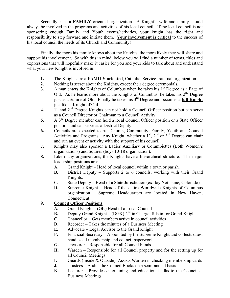Secondly, it is a **FAMILY** oriented organization. A Knight's wife and family should always be involved in the programs and activities of his local council. If the local council is not sponsoring enough Family and Youth events/activities, your knight has the right and responsibility to step forward and initiate them. **Your involvement is critical** to the success of his local council the needs of its Church and Community!

Finally, the more his family knows about the Knights, the more likely they will share and support his involvement. So with this in mind, below you will find a number of terms, titles and expressions that will hopefully make it easier for you and your kids to talk about and understand what your new Knight is involved in:

- **1.** The Knights are a **FAMILY oriented**, Catholic, Service fraternal organization.
- **2.** Nothing is secret about the Knights, except their degree ceremonials.
- **3.** A man enters the Knights of Columbus when he takes his  $1<sup>st</sup>$  Degree as a Page of Old. As he learns more about the Knights of Columbus, he takes his  $2<sup>nd</sup>$  Degree just as a Squire of Old. Finally he takes his 3rd Degree and becomes a **full Knight** just like a Knight of Old.
- **4.** 1<sup>st</sup> and 2<sup>nd</sup> Degree Knights can not hold a Council Officer position but can serve as a Council Director or Chairman to a Council Activity.
- **5.** A 3rd Degree member can hold a local Council Officer position or a State Officer position and can serve as a District Deputy.
- **6.** Councils are expected to run Church, Community, Family, Youth and Council Activities and Programs. Any Knight, whether a  $1<sup>st</sup>$ ,  $2<sup>nd</sup>$  or  $3<sup>rd</sup>$  Degree can chair and run an event or activity with the support of his council.
- **7.** Knights may also sponsor a Ladies Auxiliary or Columbiettes (Both Women's organizations) and Squires (boys 10-18 organization).
- **8.** Like many organizations, the Knights have a hierarchical structure. The major leadership positions are:
	- **A.** Grand Knight Head of local council within a town or parish.
	- **B.** District Deputy Supports 2 to 6 councils, working with their Grand Knights.
	- **C.** State Deputy Head of a State Jurisdiction (ex. Jay Nothstine, Colorado)
	- **D.** Supreme Knight Head of the entire Worldwide Knights of Columbus organization. Supreme Headquarters are located in New Haven, Connecticut.

### **9. Council Officer Positions**

- **A.** Grand Knight (GK) Head of a Local Council
- **B.** Deputy Grand Knight  $(DGK)$   $2^{nd}$  in Charge, fills in for Grand Knight
- **C.** Chancellor Gets members active in council activities
- **D.** Recorder Takes the minutes of a Business Meeting
- **E.** Advocate Legal Advisor to the Grand Knight
- **F.** Financial Secretary Appointed by the Supreme Knight and collects dues, handles all membership and council paperwork
- **G.** Treasurer Responsible for all Council Funds
- **H.** Warden Responsible for all Council property and for the setting up for all Council Meetings
- **I.** Guards (Inside & Outside)–Assists Warden in checking membership cards
- **J.** Trustees Audits the Council Books on a semi-annual basis
- **K.** Lecturer Provides entertaining and educational talks to the Council at Business Meetings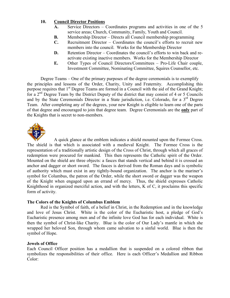#### **10. Council Director Positions**

- **A.** Service Directors Coordinates programs and activities in one of the 5 service areas; Church, Community, Family, Youth and Council.
- **B.** Membership Director Directs all Council membership programming
- **C.** Recruitment Director Coordinates the council's efforts to recruit new members into the council. Works for the Membership Director
- **D.** Retention Director Coordinates the council's efforts to win back and reactivate existing inactive members. Works for the Membership Director
- **E.** Other Types of Council Directors/Committees Pro-Life Chair couple, Investment Committee, Nominating Committee, Squires Counsellor, etc.

Degree Teams – One of the primary purposes of the degree ceremonials is to exemplify the principles and lessons of the Order, Charity, Unity and Fraternity. Accomplishing this purpose requires that 1<sup>st</sup> Degree Teams are formed in a Council with the aid of the Grand Knight; for a 2nd Degree Team by the District Deputy of the district that may consist of 4 or 5 Councils and by the State Ceremonials Director in a State jurisdiction, i.e. Colorado, for a 3<sup>rd</sup> Degree Team. After completing any of the degrees, your new Knight is eligible to learn one of the parts of that degree and encouraged to join that degree team. Degree Ceremonials are the **only** part of the Knights that is secret to non-members.



A quick glance at the emblem indicates a shield mounted upon the Formee Cross. The shield is that which is associated with a medieval Knight. The Formee Cross is the representation of a traditionally artistic design of the Cross of Christ, through which all graces of redemption were procured for mankind. This then represents the Catholic spirit of the Order. Mounted on the shield are three objects: a fasces that stands vertical and behind it is crossed an anchor and dagger or short sword. The fasces is derived from the Roman days and is symbolic of authority which must exist in any tightly-bound organization. The anchor is the mariner's symbol for Columbus, the patron of the Order, while the short sword or dagger was the weapon of the Knight when engaged upon an errand of mercy. Thus, the shield expresses Catholic Knighthood in organized merciful action, and with the letters, K of C, it proclaims this specific form of activity.

#### **The Colors of the Knights of Columbus Emblem**

Red is the Symbol of faith, of a belief in Christ, in the Redemption and in the knowledge and love of Jesus Christ. White is the color of the Eucharistic host, a pledge of God's Eucharistic presence among men and of the infinite love God has for each individual. White is then the symbol of Christ-like Charity. Blue is the color of Our Lady's mantle in which she wrapped her beloved Son, through whom came salvation to a sinful world. Blue is then the symbol of Hope.

#### **Jewels of Office**

Each Council Officer position has a medallion that is suspended on a colored ribbon that symbolizes the responsibilities of their office. Here is each Officer's Medallion and Ribbon Color: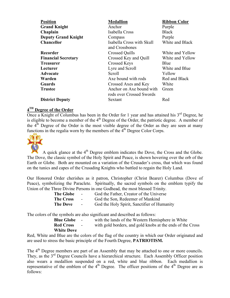| <b>Position</b>            | <b>Medallion</b>                                     | <b>Ribbon Color</b> |
|----------------------------|------------------------------------------------------|---------------------|
| <b>Grand Knight</b>        | Anchor                                               | Purple              |
| Chaplain                   | Isabella Cross                                       | <b>Black</b>        |
| <b>Deputy Grand Knight</b> | Compass                                              | Purple              |
| <b>Chancellor</b>          | Isabella Cross with Skull<br>and Crossbones          | White and Black     |
| Recorder                   | <b>Crossed Quills</b>                                | White and Yellow    |
| <b>Financial Secretary</b> | Crossed Key and Quill                                | White and Yellow    |
| <b>Treasurer</b>           | Crossed Keys                                         | Blue                |
| Lecturer                   | Lyre and Scroll                                      | White and Blue      |
| Advocate                   | Scroll                                               | Yellow              |
| Warden                     | Axe bound with rods                                  | Red and Black       |
| <b>Guards</b>              | Crossed Axes and Key                                 | White               |
| <b>Trustee</b>             | Anchor on Axe bound with<br>rods over Crossed Swords | Green               |
| <b>District Deputy</b>     | Sextant                                              | Red                 |

# **4TH Degree of the Order**

Once a Knight of Columbus has been in the Order for 1 year and has attained his  $3<sup>rd</sup>$  Degree, he is eligible to become a member of the  $4<sup>th</sup>$  Degree of the Order, the patriotic degree. A member of the  $4<sup>th</sup>$  Degree of the Order is the most visible degree of the Order as they are seen at many functions in the regalia worn by the members of the  $\overline{4}^{\text{th}}$  Degree Color Corps.



A quick glance at the  $4<sup>th</sup>$  Degree emblem indicates the Dove, the Cross and the Globe. The Dove, the classic symbol of the Holy Spirit and Peace, is shown hovering over the orb of the Earth or Globe. Both are mounted on a variation of the Crusader's cross, that which was found on the tunics and capes of the Crusading Knights who battled to regain the Holy Land.

Our Honored Order cherishes as it patron, Christopher (Christ Bearer) Columbus (Dove of Peace), symbolizing the Paraclete. Spiritually, the sacred symbols on the emblem typify the Union of the Three Divine Persons in one Godhead, the most blessed Trinity.

| <b>The Globe</b> | $\sim$         | God the Father, Creator of the Universe     |
|------------------|----------------|---------------------------------------------|
| <b>The Cross</b> | $\sim$         | God the Son, Redeemer of Mankind            |
| <b>The Dove</b>  | $\blacksquare$ | God the Holy Spirit, Sanctifier of Humanity |

The colors of the symbols are also significant and described as follows:

| <b>Blue Globe</b> | $\sim$ | with the lands of the Western Hemisphere in White          |
|-------------------|--------|------------------------------------------------------------|
| <b>Red Cross</b>  | $\sim$ | with gold borders, and gold knobs at the ends of the Cross |
| <b>White Dove</b> |        |                                                            |

Red, White and Blue are the colors of the flag of the country in which our Order originated and are used to stress the basic principle of the Fourth Degree, **PATRIOTISM.**

The 4<sup>th</sup> Degree members are part of an Assembly that may be attached to one or more councils. They, as the 3<sup>rd</sup> Degree Councils have a hierarchical structure. Each Assembly Officer position also wears a medallion suspended on a red, white and blue ribbon. Each medallion is representative of the emblem of the  $4<sup>th</sup>$  Degree. The officer positions of the  $4<sup>th</sup>$  Degree are as follows: